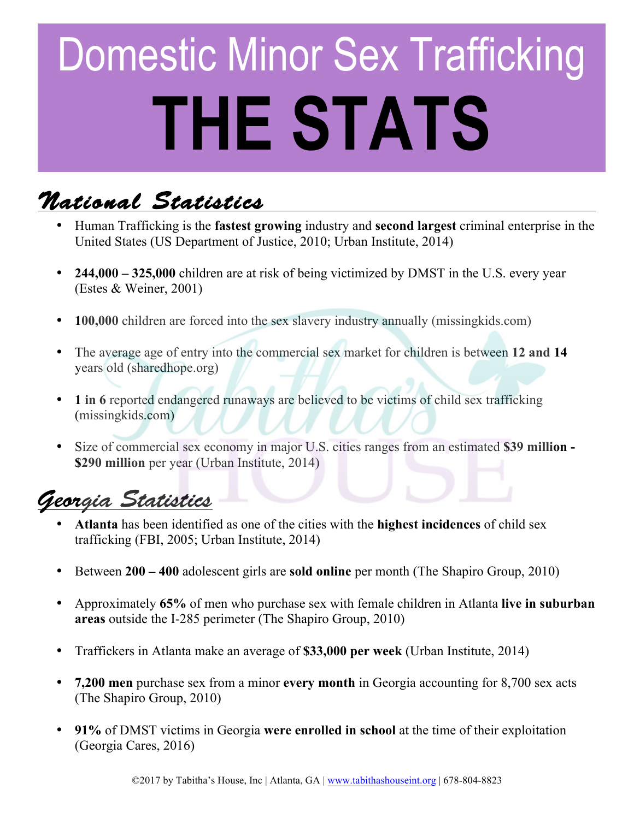# Domestic Minor Sex Trafficking **THE STATS**

# *National Statistics*

- Human Trafficking is the **fastest growing** industry and **second largest** criminal enterprise in the United States (US Department of Justice, 2010; Urban Institute, 2014)
- **244,000 – 325,000** children are at risk of being victimized by DMST in the U.S. every year (Estes & Weiner, 2001)
- **100,000** children are forced into the sex slavery industry annually (missingkids.com)
- The average age of entry into the commercial sex market for children is between **12 and 14**  years old (sharedhope.org)
- **1 in 6** reported endangered runaways are believed to be victims of child sex trafficking (missingkids.com)
- Size of commercial sex economy in major U.S. cities ranges from an estimated **\$39 million - \$290 million** per year (Urban Institute, 2014)

# *Georgia Statistics*

- **Atlanta** has been identified as one of the cities with the **highest incidences** of child sex trafficking (FBI, 2005; Urban Institute, 2014)
- Between **200 – 400** adolescent girls are **sold online** per month (The Shapiro Group, 2010)
- Approximately **65%** of men who purchase sex with female children in Atlanta **live in suburban areas** outside the I-285 perimeter (The Shapiro Group, 2010)
- Traffickers in Atlanta make an average of **\$33,000 per week** (Urban Institute, 2014)
- **7,200 men** purchase sex from a minor **every month** in Georgia accounting for 8,700 sex acts (The Shapiro Group, 2010)
- **91%** of DMST victims in Georgia **were enrolled in school** at the time of their exploitation (Georgia Cares, 2016)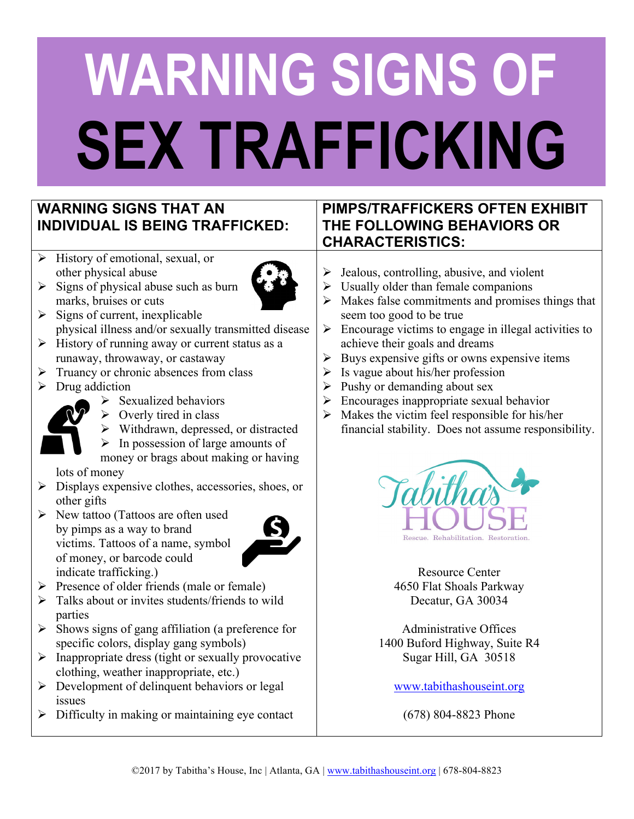# **WARNING SIGNS OF SEX TRAFFICKING**

### **WARNING SIGNS THAT AN INDIVIDUAL IS BEING TRAFFICKED:**

 $\triangleright$  History of emotional, sexual, or other physical abuse



- $\triangleright$  Signs of physical abuse such as burn marks, bruises or cuts
- $\triangleright$  Signs of current, inexplicable physical illness and/or sexually transmitted disease
- $\triangleright$  History of running away or current status as a runaway, throwaway, or castaway
- $\triangleright$  Truancy or chronic absences from class
- $\triangleright$  Drug addiction



- $\triangleright$  Overly tired in class
- $\triangleright$  Withdrawn, depressed, or distracted
- $\triangleright$  In possession of large amounts of

money or brags about making or having lots of money

- $\triangleright$  Displays expensive clothes, accessories, shoes, or other gifts
- $\triangleright$  New tattoo (Tattoos are often used by pimps as a way to brand victims. Tattoos of a name, symbol of money, or barcode could indicate trafficking.)



- $\triangleright$  Presence of older friends (male or female)
- $\triangleright$  Talks about or invites students/friends to wild parties
- $\triangleright$  Shows signs of gang affiliation (a preference for specific colors, display gang symbols)
- $\triangleright$  Inappropriate dress (tight or sexually provocative clothing, weather inappropriate, etc.)
- $\triangleright$  Development of delinquent behaviors or legal issues
- $\triangleright$  Difficulty in making or maintaining eye contact

## **PIMPS/TRAFFICKERS OFTEN EXHIBIT THE FOLLOWING BEHAVIORS OR CHARACTERISTICS:**

- $\triangleright$  Jealous, controlling, abusive, and violent
- $\triangleright$  Usually older than female companions
- $\triangleright$  Makes false commitments and promises things that seem too good to be true
- $\triangleright$  Encourage victims to engage in illegal activities to achieve their goals and dreams
- $\triangleright$  Buys expensive gifts or owns expensive items
- $\triangleright$  Is vague about his/her profession
- $\triangleright$  Pushy or demanding about sex
- $\triangleright$  Encourages inappropriate sexual behavior
- $\triangleright$  Makes the victim feel responsible for his/her financial stability. Does not assume responsibility.



Resource Center 4650 Flat Shoals Parkway Decatur, GA 30034

Administrative Offices 1400 Buford Highway, Suite R4 Sugar Hill, GA 30518

www.tabithashouseint.org

(678) 804-8823 Phone